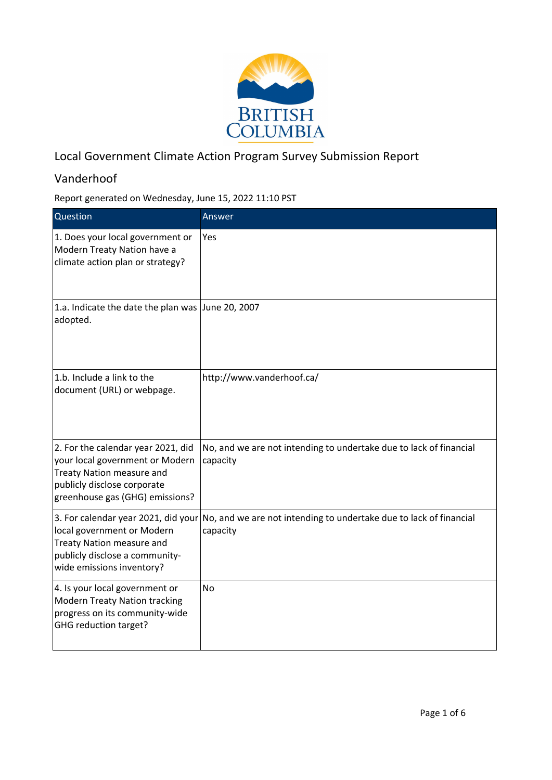

## Local Government Climate Action Program Survey Submission Report

## Vanderhoof

Report generated on Wednesday, June 15, 2022 11:10 PST

| Question                                                                                                                                                             | Answer                                                                                                             |
|----------------------------------------------------------------------------------------------------------------------------------------------------------------------|--------------------------------------------------------------------------------------------------------------------|
| 1. Does your local government or<br>Modern Treaty Nation have a<br>climate action plan or strategy?                                                                  | Yes                                                                                                                |
| 1.a. Indicate the date the plan was June 20, 2007<br>adopted.                                                                                                        |                                                                                                                    |
| 1.b. Include a link to the<br>document (URL) or webpage.                                                                                                             | http://www.vanderhoof.ca/                                                                                          |
| 2. For the calendar year 2021, did<br>your local government or Modern<br>Treaty Nation measure and<br>publicly disclose corporate<br>greenhouse gas (GHG) emissions? | No, and we are not intending to undertake due to lack of financial<br>capacity                                     |
| local government or Modern<br><b>Treaty Nation measure and</b><br>publicly disclose a community-<br>wide emissions inventory?                                        | 3. For calendar year 2021, did your No, and we are not intending to undertake due to lack of financial<br>capacity |
| 4. Is your local government or<br><b>Modern Treaty Nation tracking</b><br>progress on its community-wide<br>GHG reduction target?                                    | <b>No</b>                                                                                                          |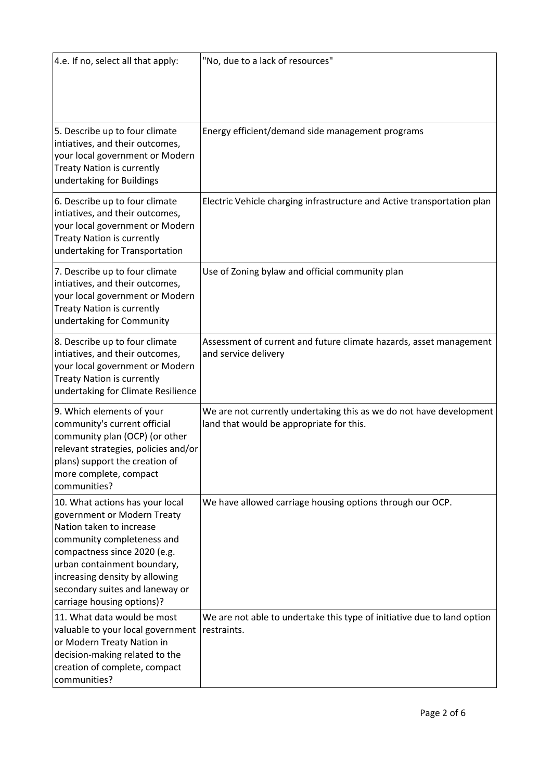| 4.e. If no, select all that apply:                                                                                                                                                                                                                                                         | "No, due to a lack of resources"                                                                                |
|--------------------------------------------------------------------------------------------------------------------------------------------------------------------------------------------------------------------------------------------------------------------------------------------|-----------------------------------------------------------------------------------------------------------------|
| 5. Describe up to four climate<br>intiatives, and their outcomes,<br>your local government or Modern<br><b>Treaty Nation is currently</b><br>undertaking for Buildings                                                                                                                     | Energy efficient/demand side management programs                                                                |
| 6. Describe up to four climate<br>intiatives, and their outcomes,<br>your local government or Modern<br><b>Treaty Nation is currently</b><br>undertaking for Transportation                                                                                                                | Electric Vehicle charging infrastructure and Active transportation plan                                         |
| 7. Describe up to four climate<br>intiatives, and their outcomes,<br>your local government or Modern<br><b>Treaty Nation is currently</b><br>undertaking for Community                                                                                                                     | Use of Zoning bylaw and official community plan                                                                 |
| 8. Describe up to four climate<br>intiatives, and their outcomes,<br>your local government or Modern<br><b>Treaty Nation is currently</b><br>undertaking for Climate Resilience                                                                                                            | Assessment of current and future climate hazards, asset management<br>and service delivery                      |
| 9. Which elements of your<br>community's current official<br>community plan (OCP) (or other<br>relevant strategies, policies and/or<br>plans) support the creation of<br>more complete, compact<br>communities?                                                                            | We are not currently undertaking this as we do not have development<br>land that would be appropriate for this. |
| 10. What actions has your local<br>government or Modern Treaty<br>Nation taken to increase<br>community completeness and<br>compactness since 2020 (e.g.<br>urban containment boundary,<br>increasing density by allowing<br>secondary suites and laneway or<br>carriage housing options)? | We have allowed carriage housing options through our OCP.                                                       |
| 11. What data would be most<br>valuable to your local government<br>or Modern Treaty Nation in<br>decision-making related to the<br>creation of complete, compact<br>communities?                                                                                                          | We are not able to undertake this type of initiative due to land option<br>restraints.                          |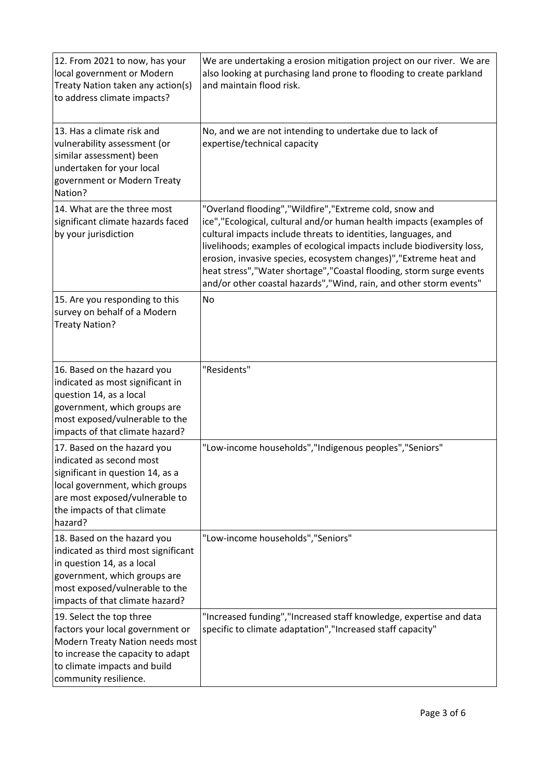| 12. From 2021 to now, has your<br>local government or Modern<br>Treaty Nation taken any action(s)<br>to address climate impacts?                                                                          | We are undertaking a erosion mitigation project on our river. We are<br>also looking at purchasing land prone to flooding to create parkland<br>and maintain flood risk.                                                                                                                                                                                                                                                                                                                        |  |  |  |
|-----------------------------------------------------------------------------------------------------------------------------------------------------------------------------------------------------------|-------------------------------------------------------------------------------------------------------------------------------------------------------------------------------------------------------------------------------------------------------------------------------------------------------------------------------------------------------------------------------------------------------------------------------------------------------------------------------------------------|--|--|--|
| 13. Has a climate risk and<br>vulnerability assessment (or<br>similar assessment) been<br>undertaken for your local<br>government or Modern Treaty<br>Nation?                                             | No, and we are not intending to undertake due to lack of<br>expertise/technical capacity                                                                                                                                                                                                                                                                                                                                                                                                        |  |  |  |
| 14. What are the three most<br>significant climate hazards faced<br>by your jurisdiction                                                                                                                  | "Overland flooding","Wildfire","Extreme cold, snow and<br>ice", "Ecological, cultural and/or human health impacts (examples of<br>cultural impacts include threats to identities, languages, and<br>livelihoods; examples of ecological impacts include biodiversity loss,<br>erosion, invasive species, ecosystem changes)", "Extreme heat and<br>heat stress", "Water shortage", "Coastal flooding, storm surge events<br>and/or other coastal hazards", "Wind, rain, and other storm events" |  |  |  |
| 15. Are you responding to this<br>survey on behalf of a Modern<br><b>Treaty Nation?</b>                                                                                                                   | <b>No</b>                                                                                                                                                                                                                                                                                                                                                                                                                                                                                       |  |  |  |
| 16. Based on the hazard you<br>indicated as most significant in<br>question 14, as a local<br>government, which groups are<br>most exposed/vulnerable to the<br>impacts of that climate hazard?           | "Residents"                                                                                                                                                                                                                                                                                                                                                                                                                                                                                     |  |  |  |
| 17. Based on the hazard you<br>indicated as second most<br>significant in question 14, as a<br>local government, which groups<br>are most exposed/vulnerable to<br>the impacts of that climate<br>hazard? | "Low-income households", "Indigenous peoples", "Seniors"                                                                                                                                                                                                                                                                                                                                                                                                                                        |  |  |  |
| 18. Based on the hazard you<br>indicated as third most significant<br>in question 14, as a local<br>government, which groups are<br>most exposed/vulnerable to the<br>impacts of that climate hazard?     | "Low-income households", "Seniors"                                                                                                                                                                                                                                                                                                                                                                                                                                                              |  |  |  |
| 19. Select the top three<br>factors your local government or<br>Modern Treaty Nation needs most<br>to increase the capacity to adapt<br>to climate impacts and build<br>community resilience.             | "Increased funding", "Increased staff knowledge, expertise and data<br>specific to climate adaptation", "Increased staff capacity"                                                                                                                                                                                                                                                                                                                                                              |  |  |  |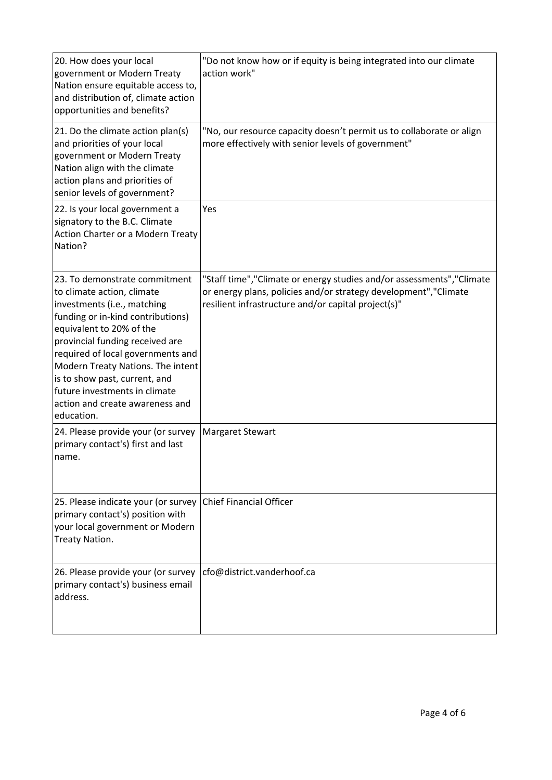| 20. How does your local<br>government or Modern Treaty<br>Nation ensure equitable access to,<br>and distribution of, climate action<br>opportunities and benefits?                                                                                                                                                                                                                          | "Do not know how or if equity is being integrated into our climate<br>action work"                                                                                                                |
|---------------------------------------------------------------------------------------------------------------------------------------------------------------------------------------------------------------------------------------------------------------------------------------------------------------------------------------------------------------------------------------------|---------------------------------------------------------------------------------------------------------------------------------------------------------------------------------------------------|
| 21. Do the climate action plan(s)<br>and priorities of your local<br>government or Modern Treaty<br>Nation align with the climate<br>action plans and priorities of<br>senior levels of government?                                                                                                                                                                                         | "No, our resource capacity doesn't permit us to collaborate or align<br>more effectively with senior levels of government"                                                                        |
| 22. Is your local government a<br>signatory to the B.C. Climate<br>Action Charter or a Modern Treaty<br>Nation?                                                                                                                                                                                                                                                                             | Yes                                                                                                                                                                                               |
| 23. To demonstrate commitment<br>to climate action, climate<br>investments (i.e., matching<br>funding or in-kind contributions)<br>equivalent to 20% of the<br>provincial funding received are<br>required of local governments and<br>Modern Treaty Nations. The intent<br>is to show past, current, and<br>future investments in climate<br>action and create awareness and<br>education. | "Staff time", "Climate or energy studies and/or assessments", "Climate<br>or energy plans, policies and/or strategy development", "Climate<br>resilient infrastructure and/or capital project(s)" |
| 24. Please provide your (or survey<br>primary contact's) first and last<br>name.                                                                                                                                                                                                                                                                                                            | <b>Margaret Stewart</b>                                                                                                                                                                           |
| 25. Please indicate your (or survey<br>primary contact's) position with<br>your local government or Modern<br>Treaty Nation.                                                                                                                                                                                                                                                                | <b>Chief Financial Officer</b>                                                                                                                                                                    |
| 26. Please provide your (or survey<br>primary contact's) business email<br>address.                                                                                                                                                                                                                                                                                                         | cfo@district.vanderhoof.ca                                                                                                                                                                        |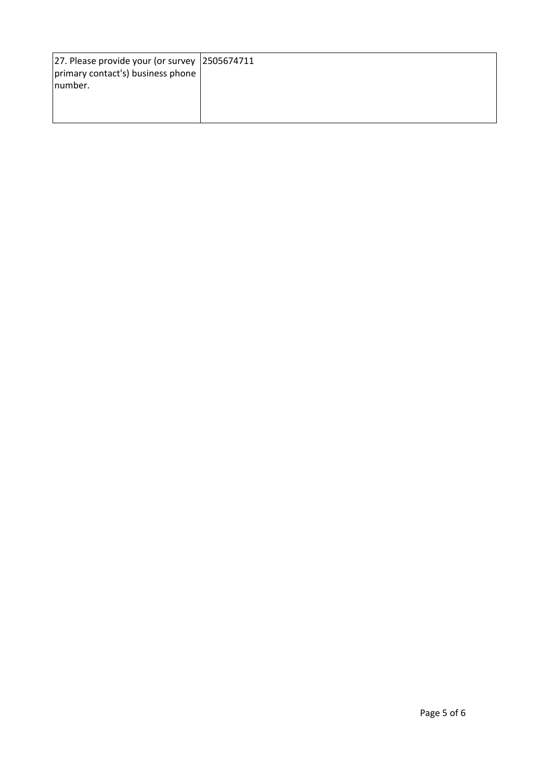| 27. Please provide your (or survey $ 2505674711$ |  |
|--------------------------------------------------|--|
| primary contact's) business phone                |  |
| Inumber.                                         |  |
|                                                  |  |
|                                                  |  |
|                                                  |  |